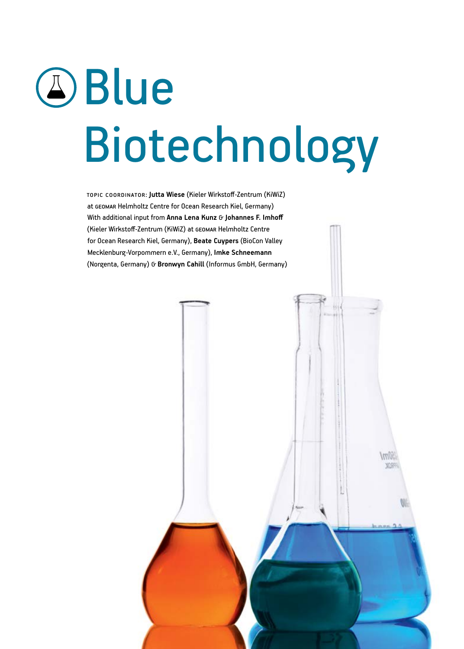# **A**Blue Biotechnology

Topic coordinator: **Jutta Wiese** (Kieler Wirkstoff-Zentrum (KiWiZ) at GEOMAR Helmholtz Centre for Ocean Research Kiel, Germany) With additional input from Anna Lena Kunz G Johannes F. Imhoff (Kieler Wirkstoff-Zentrum (KiWiZ) at GEOMAR Helmholtz Centre for Ocean Research Kiel, Germany), **Beate Cuypers** (BioCon Valley Mecklenburg-Vorpommern e.V., Germany), **Imke Schneemann**  (Norgenta, Germany) & **Bronwyn Cahill** (Informus GmbH, Germany)

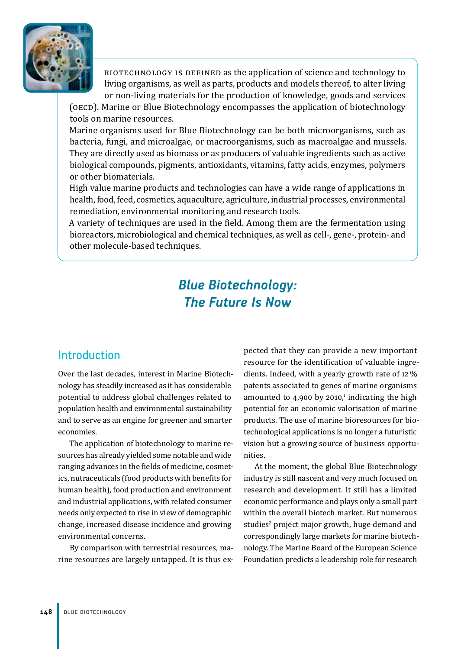

BIOTECHNOLOGY IS DEFINED as the application of science and technology to living organisms, as well as parts, products and models thereof, to alter living or non-living materials for the production of knowledge, goods and services

(OECD). Marine or Blue Biotechnology encompasses the application of biotechnology tools on marine resources.

Marine organisms used for Blue Biotechnology can be both microorganisms, such as bacteria, fungi, and microalgae, or macroorganisms, such as macroalgae and mussels. They are directly used as biomass or as producers of valuable ingredients such as active biological compounds, pigments, antioxidants, vitamins, fatty acids, enzymes, polymers or other biomaterials.

High value marine products and technologies can have a wide range of applications in health, food, feed, cosmetics, aquaculture, agriculture, industrial processes, environmental remediation, environmental monitoring and research tools.

A variety of techniques are used in the field. Among them are the fermentation using bioreactors, microbiological and chemical techniques, as well as cell-, gene-, protein- and other molecule-based techniques.

# *Blue Biotechnology: The Future Is Now*

# Introduction

Over the last decades, interest in Marine Biotechnology has steadily increased as it has considerable potential to address global challenges related to population health and environmental sustainability and to serve as an engine for greener and smarter economies.

The application of biotechnology to marine resources has already yielded some notable and wide ranging advances in the fields of medicine, cosmetics, nutraceuticals (food products with benefits for human health), food production and environment and industrial applications, with related consumer needs only expected to rise in view of demographic change, increased disease incidence and growing environmental concerns.

By comparison with terrestrial resources, marine resources are largely untapped. It is thus expected that they can provide a new important resource for the identification of valuable ingredients. Indeed, with a yearly growth rate of 12 % patents associated to genes of marine organisms amounted to 4,900 by 2010, $^1$  indicating the high potential for an economic valorisation of marine products. The use of marine bioresources for biotechnological applications is no longer a futuristic vision but a growing source of business opportunities.

At the moment, the global Blue Biotechnology industry is still nascent and very much focused on research and development. It still has a limited economic performance and plays only a small part within the overall biotech market. But numerous studies<sup>2</sup> project major growth, huge demand and correspondingly large markets for marine biotechnology. The Marine Board of the European Science Foundation predicts a leadership role for research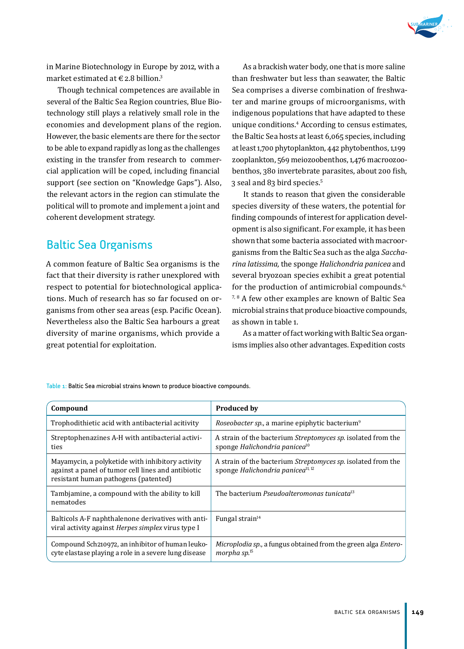

in Marine Biotechnology in Europe by 2012, with a market estimated at  $\in$  2.8 billion.<sup>3</sup>

Though technical competences are available in several of the Baltic Sea Region countries, Blue Biotechnology still plays a relatively small role in the economies and development plans of the region. However, the basic elements are there for the sector to be able to expand rapidly as long as the challenges existing in the transfer from research to commercial application will be coped, including financial support (see section on "Knowledge Gaps"). Also, the relevant actors in the region can stimulate the political will to promote and implement a joint and coherent development strategy.

# Baltic Sea Organisms

A common feature of Baltic Sea organisms is the fact that their diversity is rather unexplored with respect to potential for biotechnological applications. Much of research has so far focused on organisms from other sea areas (esp. Pacific Ocean). Nevertheless also the Baltic Sea harbours a great diversity of marine organisms, which provide a great potential for exploitation.

As a brackish water body, one that is more saline than freshwater but less than seawater, the Baltic Sea comprises a diverse combination of freshwater and marine groups of microorganisms, with indigenous populations that have adapted to these unique conditions.<sup>4</sup> According to census estimates, the Baltic Sea hosts at least 6,065 species, including at least 1,700 phytoplankton, 442 phytobenthos, 1,199 zooplankton, 569 meiozoobenthos, 1,476 macroozoobenthos, 380 invertebrate parasites, about 200 fish, 3 seal and 83 bird species.5

It stands to reason that given the considerable species diversity of these waters, the potential for finding compounds of interest for application development is also significant. For example, it has been shown that some bacteria associated with macroorganisms from the Baltic Sea such as the alga *Saccharina latissima,* the sponge *Halichondria panicea* and several bryozoan species exhibit a great potential for the production of antimicrobial compounds.<sup>6,</sup> 7, 8 A few other examples are known of Baltic Sea microbial strains that produce bioactive compounds, as shown in table 1.

As a matter of fact working with Baltic Sea organisms implies also other advantages. Expedition costs

**Compound Produced by** Trophodithietic acid with antibacterial acitivity *Roseobacter sp.*, a marine epiphytic bacterium<sup>9</sup> Streptophenazines A-H with antibacterial activities A strain of the bacterium *Streptomyces sp.* isolated from the sponge *Halichondria panicea*<sup>10</sup> Mayamycin, a polyketide with inhibitory activity against a panel of tumor cell lines and antibiotic resistant human pathogens (patented) A strain of the bacterium *Streptomyces sp.* isolated from the sponge *Halichondria panicea*11, 12 Tambjamine, a compound with the ability to kill nematodes The bacterium *Pseudoalteromonas tunicata*<sup>13</sup> Balticols A-F naphthalenone derivatives with antiviral activity against *Herpes simplex* virus type I Fungal strain $14$ Compound Sch210972, an inhibitor of human leukocyte elastase playing a role in a severe lung disease *Microplodia sp.*, a fungus obtained from the green alga *Enteromorpha sp.*15

Table 1: Baltic Sea microbial strains known to produce bioactive compounds.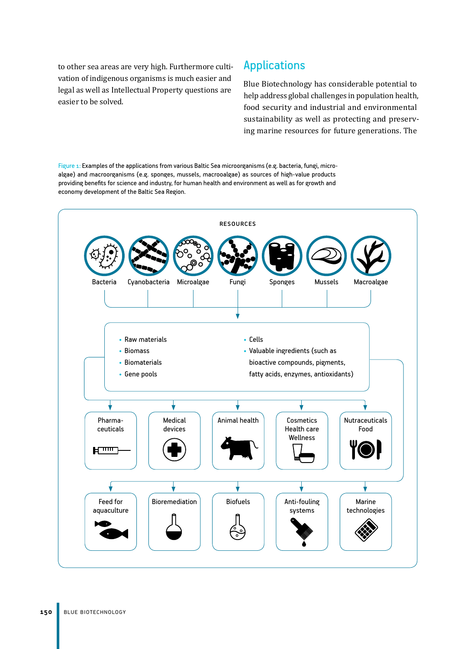to other sea areas are very high. Furthermore cultivation of indigenous organisms is much easier and legal as well as Intellectual Property questions are easier to be solved.

# Applications

Blue Biotechnology has considerable potential to help address global challenges in population health, food security and industrial and environmental sustainability as well as protecting and preserving marine resources for future generations. The

Figure 1: Examples of the applications from various Baltic Sea microorganisms (e.g. bacteria, fungi, microalgae) and macroorganisms (e.g. sponges, mussels, macrooalgae) as sources of high-value products providing benefits for science and industry, for human health and environment as well as for growth and economy development of the Baltic Sea Region.

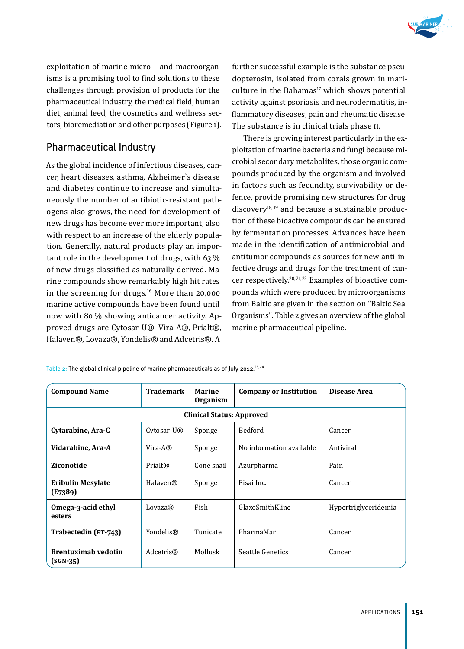

exploitation of marine micro – and macroorganisms is a promising tool to find solutions to these challenges through provision of products for the pharmaceutical industry, the medical field, human diet, animal feed, the cosmetics and wellness sectors, bioremediation and other purposes (Figure 1).

## Pharmaceutical Industry

As the global incidence of infectious diseases, cancer, heart diseases, asthma, Alzheimer`s disease and diabetes continue to increase and simultaneously the number of antibiotic-resistant pathogens also grows, the need for development of new drugs has become ever more important, also with respect to an increase of the elderly population. Generally, natural products play an important role in the development of drugs, with 63 % of new drugs classified as naturally derived. Marine compounds show remarkably high hit rates in the screening for drugs.<sup>16</sup> More than 20,000 marine active compounds have been found until now with 80 % showing anticancer activity. Approved drugs are Cytosar-U®, Vira-A®, Prialt®, Halaven®, Lovaza®, Yondelis® and Adcetris®. A

further successful example is the substance pseudopterosin, isolated from corals grown in mariculture in the Bahamas $17$  which shows potential activity against psoriasis and neurodermatitis, inflammatory diseases, pain and rheumatic disease. The substance is in clinical trials phase II.

There is growing interest particularly in the exploitation of marine bacteria and fungi because microbial secondary metabolites, those organic compounds produced by the organism and involved in factors such as fecundity, survivability or defence, provide promising new structures for drug discovery18, 19 and because a sustainable production of these bioactive compounds can be ensured by fermentation processes. Advances have been made in the identification of antimicrobial and antitumor compounds as sources for new anti-infective drugs and drugs for the treatment of cancer respectively.20, 21, 22 Examples of bioactive compounds which were produced by microorganisms from Baltic are given in the section on "Baltic Sea Organisms"*.* Table 2 gives an overview of the global marine pharmaceutical pipeline.

Table 2: The global clinical pipeline of marine pharmaceuticals as of July 2012.<sup>23,24</sup>

| <b>Compound Name</b>                     | <b>Trademark</b> | <b>Marine</b><br>Organism        | <b>Company or Institution</b> | Disease Area         |
|------------------------------------------|------------------|----------------------------------|-------------------------------|----------------------|
|                                          |                  | <b>Clinical Status: Approved</b> |                               |                      |
| Cytarabine, Ara-C                        | Cytosar-U®       | Sponge                           | <b>Bedford</b>                | Cancer               |
| Vidarabine, Ara-A                        | $Vira-A®$        | Sponge                           | No information available      | Antiviral            |
| Ziconotide                               | Prialt®          | Cone snail                       | Azurpharma                    | Pain                 |
| <b>Eribulin Mesylate</b><br>(E7389)      | Halaven®         | Sponge                           | Eisai Inc.                    | Cancer               |
| Omega-3-acid ethyl<br>esters             | Lovaza®          | Fish                             | GlaxoSmithKline               | Hypertriglyceridemia |
| Trabectedin (ET-743)                     | Yondelis®        | Tunicate                         | PharmaMar                     | Cancer               |
| <b>Brentuximab vedotin</b><br>$(SGN-35)$ | Adcetris®        | Mollusk                          | Seattle Genetics              | Cancer               |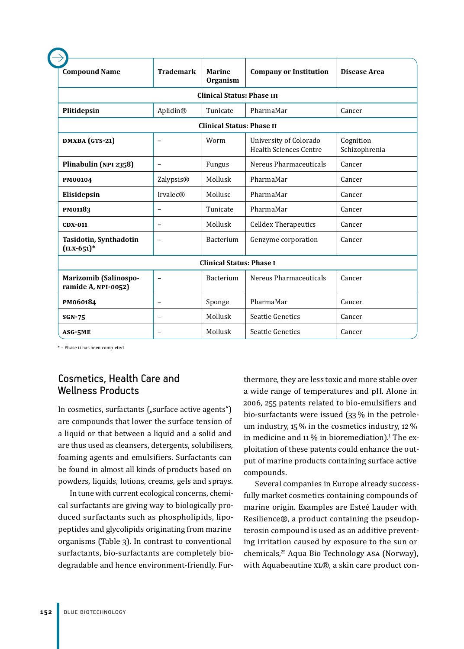| <b>Compound Name</b>                                       | <b>Trademark</b>         | <b>Marine</b><br>Organism        | <b>Company or Institution</b>                           | Disease Area               |  |  |
|------------------------------------------------------------|--------------------------|----------------------------------|---------------------------------------------------------|----------------------------|--|--|
| <b>Clinical Status: Phase III</b>                          |                          |                                  |                                                         |                            |  |  |
| Plitidepsin<br>Aplidin®<br>PharmaMar<br>Tunicate<br>Cancer |                          |                                  |                                                         |                            |  |  |
|                                                            |                          | <b>Clinical Status: Phase II</b> |                                                         |                            |  |  |
| DMXBA (GTS-21)                                             | $\equiv$                 | Worm                             | University of Colorado<br><b>Health Sciences Centre</b> | Cognition<br>Schizophrenia |  |  |
| Plinabulin (NPI 2358)                                      | $\overline{\phantom{0}}$ | Fungus                           | Nereus Pharmaceuticals                                  | Cancer                     |  |  |
| PM00104                                                    | Zalypsis <sup>®</sup>    | Mollusk                          | PharmaMar                                               | Cancer                     |  |  |
| Elisidepsin                                                | <b>Irvalec®</b>          | Mollusc                          | PharmaMar                                               | Cancer                     |  |  |
| <b>PM01183</b>                                             |                          | Tunicate                         | PharmaMar                                               | Cancer                     |  |  |
| <b>CDX-011</b>                                             | $\overline{\phantom{0}}$ | Mollusk                          | <b>Celldex Therapeutics</b>                             | Cancer                     |  |  |
| Tasidotin, Synthadotin<br>$(ILX-651)^*$                    | $\overline{\phantom{0}}$ | Bacterium                        | Genzyme corporation                                     | Cancer                     |  |  |
|                                                            |                          | <b>Clinical Status: Phase I</b>  |                                                         |                            |  |  |
| <b>Marizomib (Salinospo-</b><br>ramide A, NPI-0052)        |                          | Bacterium                        | Nereus Pharmaceuticals                                  | Cancer                     |  |  |
| PM060184                                                   | $\overline{\phantom{0}}$ | Sponge                           | PharmaMar                                               | Cancer                     |  |  |
| <b>SGN-75</b>                                              |                          | Mollusk                          | Seattle Genetics                                        | Cancer                     |  |  |
| ASG-5ME                                                    |                          | Mollusk                          | Seattle Genetics                                        | Cancer                     |  |  |

\* – Phase II has been completed

# Cosmetics, Health Care and Wellness Products

In cosmetics, surfactants ("surface active agents") are compounds that lower the surface tension of a liquid or that between a liquid and a solid and are thus used as cleansers, detergents, solubilisers, foaming agents and emulsifiers. Surfactants can be found in almost all kinds of products based on powders, liquids, lotions, creams, gels and sprays.

In tune with current ecological concerns, chemical surfactants are giving way to biologically produced surfactants such as phospholipids, lipopeptides and glycolipids originating from marine organisms (Table 3). In contrast to conventional surfactants, bio-surfactants are completely biodegradable and hence environment-friendly. Fur-

thermore, they are less toxic and more stable over a wide range of temperatures and pH. Alone in 2006, 255 patents related to bio-emulsifiers and bio-surfactants were issued (33 % in the petroleum industry, 15 % in the cosmetics industry, 12 % in medicine and 11  $\%$  in bioremediation).<sup>1</sup> The exploitation of these patents could enhance the output of marine products containing surface active compounds.

Several companies in Europe already successfully market cosmetics containing compounds of marine origin. Examples are Esteé Lauder with Resilience®, a product containing the pseudopterosin compound is used as an additive preventing irritation caused by exposure to the sun or chemicals,<sup>25</sup> Aqua Bio Technology ASA (Norway), with Aquabeautine XL®, a skin care product con-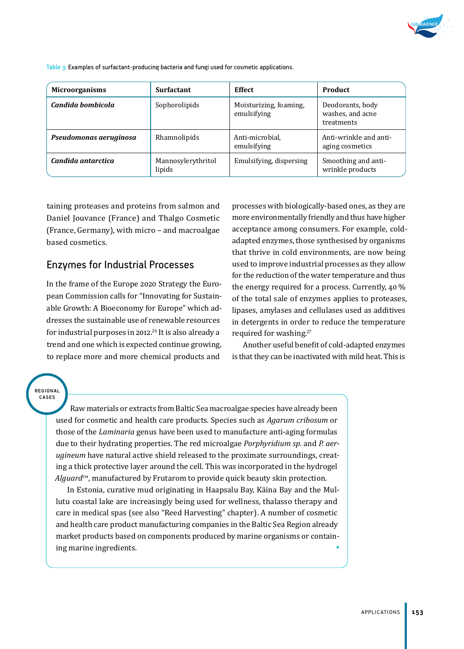

**Microorganisms Surfactant Effect Product Candida bombicola Sophorolipids** Moisturizing, foaming, emulsifying Deodorants, body washes, and acne treatments **Pseudomonas aeruginosa** Rhamnolipids Anti-microbial, emulsifying Anti-wrinkle and antiaging cosmetics **Candida antarctica** Mannosylerythritol lipids Emulsifying, dispersing  $\parallel$  Smoothing and antiwrinkle products

Table 3: Examples of surfactant-producing bacteria and fungi used for cosmetic applications.

taining proteases and proteins from salmon and Daniel Jouvance (France) and Thalgo Cosmetic (France, Germany), with micro – and macroalgae based cosmetics.

## Enzymes for Industrial Processes

In the frame of the Europe 2020 Strategy the European Commission calls for "Innovating for Sustainable Growth: A Bioeconomy for Europe" which addresses the sustainable use of renewable resources for industrial purposes in 2012.<sup>26</sup> It is also already a trend and one which is expected continue growing, to replace more and more chemical products and

processes with biologically-based ones, as they are more environmentally friendly and thus have higher acceptance among consumers. For example, coldadapted enzymes, those synthesised by organisms that thrive in cold environments, are now being used to improve industrial processes as they allow for the reduction of the water temperature and thus the energy required for a process. Currently, 40 % of the total sale of enzymes applies to proteases, lipases, amylases and cellulases used as additives in detergents in order to reduce the temperature required for washing.<sup>27</sup>

Another useful benefit of cold-adapted enzymes is that they can be inactivated with mild heat. This is

regional cases

> Raw materials or extracts from Baltic Sea macroalgae species have already been used for cosmetic and health care products. Species such as *Agarum cribosum* or those of the *Laminaria* genus have been used to manufacture anti-aging formulas due to their hydrating properties. The red microalgae *Porphyridium sp.* and *P. aerugineum* have natural active shield released to the proximate surroundings, creating a thick protective layer around the cell. This was incorporated in the hydrogel *Alguard*™, manufactured by Frutarom to provide quick beauty skin protection.

> In Estonia, curative mud originating in Haapsalu Bay, Käina Bay and the Mullutu coastal lake are increasingly being used for wellness, thalasso therapy and care in medical spas (see also "Reed Harvesting" chapter). A number of cosmetic and health care product manufacturing companies in the Baltic Sea Region already market products based on components produced by marine organisms or containing marine ingredients. •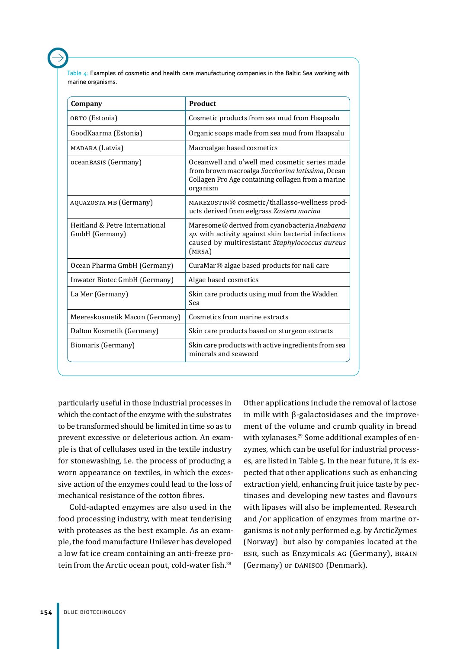Table 4: Examples of cosmetic and health care manufacturing companies in the Baltic Sea working with marine organisms.

| Company                                          | Product                                                                                                                                                             |
|--------------------------------------------------|---------------------------------------------------------------------------------------------------------------------------------------------------------------------|
| ORTO (Estonia)                                   | Cosmetic products from sea mud from Haapsalu                                                                                                                        |
| GoodKaarma (Estonia)                             | Organic soaps made from sea mud from Haapsalu                                                                                                                       |
| MADARA (Latvia)                                  | Macroalgae based cosmetics                                                                                                                                          |
| ocean BASIS (Germany)                            | Oceanwell and o'well med cosmetic series made<br>from brown macroalga Saccharina latissima, Ocean<br>Collagen Pro Age containing collagen from a marine<br>organism |
| AQUAZOSTA MB (Germany)                           | MAREZOSTIN® cosmetic/thallasso-wellness prod-<br>ucts derived from eelgrass Zostera marina                                                                          |
| Heitland & Petre International<br>GmbH (Germany) | Maresome® derived from cyanobacteria Anabaena<br>sp. with activity against skin bacterial infections<br>caused by multiresistant Staphylococcus aureus<br>(MRSA)    |
| Ocean Pharma GmbH (Germany)                      | CuraMar® algae based products for nail care                                                                                                                         |
| Inwater Biotec GmbH (Germany)                    | Algae based cosmetics                                                                                                                                               |
| La Mer (Germany)                                 | Skin care products using mud from the Wadden<br>Sea                                                                                                                 |
| Meereskosmetik Macon (Germany)                   | Cosmetics from marine extracts                                                                                                                                      |
| Dalton Kosmetik (Germany)                        | Skin care products based on sturgeon extracts                                                                                                                       |
| Biomaris (Germany)                               | Skin care products with active ingredients from sea<br>minerals and seaweed                                                                                         |

particularly useful in those industrial processes in which the contact of the enzyme with the substrates to be transformed should be limited in time so as to prevent excessive or deleterious action. An example is that of cellulases used in the textile industry for stonewashing, i.e. the process of producing a worn appearance on textiles, in which the excessive action of the enzymes could lead to the loss of mechanical resistance of the cotton fibres.

Cold-adapted enzymes are also used in the food processing industry, with meat tenderising with proteases as the best example. As an example, the food manufacture Unilever has developed a low fat ice cream containing an anti-freeze protein from the Arctic ocean pout, cold-water fish.<sup>28</sup>

Other applications include the removal of lactose in milk with β-galactosidases and the improvement of the volume and crumb quality in bread with xylanases.<sup>29</sup> Some additional examples of enzymes, which can be useful for industrial processes, are listed in Table 5. In the near future, it is expected that other applications such as enhancing extraction yield, enhancing fruit juice taste by pectinases and developing new tastes and flavours with lipases will also be implemented. Research and /or application of enzymes from marine organisms is not only performed e.g. by ArcticZymes (Norway) but also by companies located at the BSR, such as Enzymicals AG (Germany), BRAIN (Germany) or DANISCO (Denmark).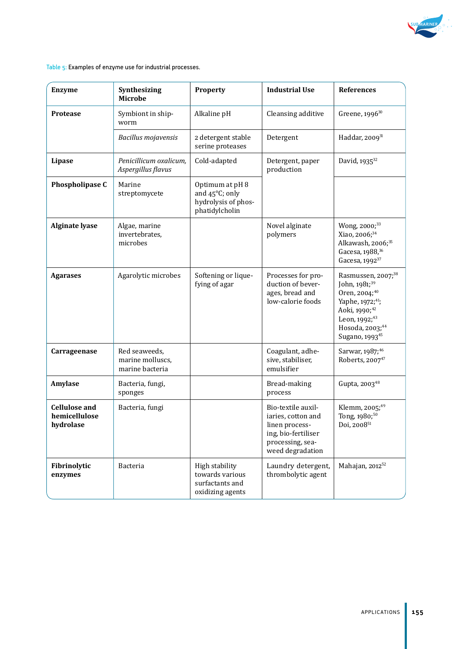

Table 5: Examples of enzyme use for industrial processes.

| <b>Enzyme</b>                                      | Synthesizing<br><b>Microbe</b>                       | <b>Property</b>                                                                 | <b>Industrial Use</b>                                                                                                     | <b>References</b>                                                                                                                                                                                                                   |
|----------------------------------------------------|------------------------------------------------------|---------------------------------------------------------------------------------|---------------------------------------------------------------------------------------------------------------------------|-------------------------------------------------------------------------------------------------------------------------------------------------------------------------------------------------------------------------------------|
| <b>Protease</b>                                    | Symbiont in ship-<br>worm                            | Alkaline pH                                                                     | Cleansing additive                                                                                                        | Greene, 1996 <sup>30</sup>                                                                                                                                                                                                          |
|                                                    | Bacillus mojavensis                                  | 2 detergent stable<br>serine proteases                                          | Detergent                                                                                                                 | Haddar, 200931                                                                                                                                                                                                                      |
| Lipase                                             | Penicillicum oxalicum,<br>Aspergillus flavus         | Cold-adapted                                                                    | Detergent, paper<br>production                                                                                            | David, 1935 <sup>32</sup>                                                                                                                                                                                                           |
| Phospholipase C                                    | Marine<br>streptomycete                              | Optimum at pH 8<br>and 45°C; only<br>hydrolysis of phos-<br>phatidylcholin      |                                                                                                                           |                                                                                                                                                                                                                                     |
| <b>Alginate lyase</b>                              | Algae, marine<br>invertebrates,<br>microbes          |                                                                                 | Novel alginate<br>polymers                                                                                                | Wong, 2000; <sup>33</sup><br>Xiao, 2006; <sup>34</sup><br>Alkawash, 2006; <sup>35</sup><br>Gacesa, 1988, 36<br>Gacesa, 1992 <sup>37</sup>                                                                                           |
| <b>Agarases</b>                                    | Agarolytic microbes                                  | Softening or lique-<br>fying of agar                                            | Processes for pro-<br>duction of bever-<br>ages, bread and<br>low-calorie foods                                           | Rasmussen, 2007; <sup>38</sup><br>John, 1981; <sup>39</sup><br>Oren, 2004; <sup>40</sup><br>Yaphe, 1972; <sup>41</sup> ;<br>Aoki, 1990; <sup>42</sup><br>Leon, 1992; <sup>43</sup><br>Hosoda, 2003;44<br>Sugano, 1993 <sup>45</sup> |
| Carrageenase                                       | Red seaweeds,<br>marine molluscs.<br>marine bacteria |                                                                                 | Coagulant, adhe-<br>sive, stabiliser,<br>emulsifier                                                                       | Sarwar, 1987; <sup>46</sup><br>Roberts, 2007 <sup>47</sup>                                                                                                                                                                          |
| Amylase                                            | Bacteria, fungi,<br>sponges                          |                                                                                 | Bread-making<br>process                                                                                                   | Gupta, 2003 <sup>48</sup>                                                                                                                                                                                                           |
| <b>Cellulose and</b><br>hemicellulose<br>hydrolase | Bacteria, fungi                                      |                                                                                 | Bio-textile auxil-<br>iaries, cotton and<br>linen process-<br>ing, bio-fertiliser<br>processing, sea-<br>weed degradation | Klemm, 2005; <sup>49</sup><br>Tong, 1980; <sup>50</sup><br>Doi, 2008 <sup>51</sup>                                                                                                                                                  |
| Fibrinolytic<br>enzymes                            | Bacteria                                             | <b>High stability</b><br>towards various<br>surfactants and<br>oxidizing agents | Laundry detergent,<br>thrombolytic agent                                                                                  | Mahajan, 2012 <sup>52</sup>                                                                                                                                                                                                         |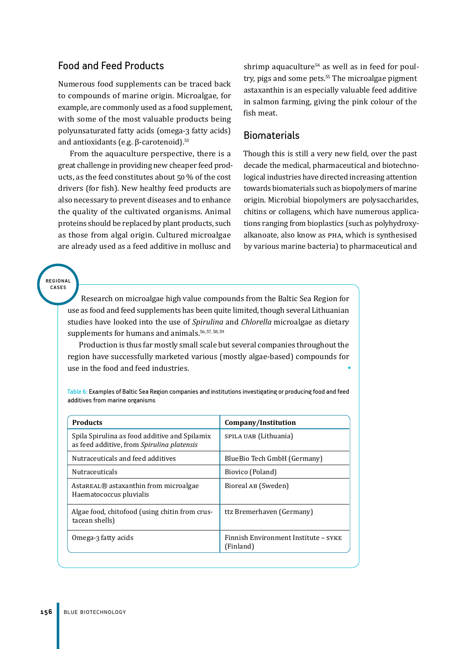## Food and Feed Products

Numerous food supplements can be traced back to compounds of marine origin. Microalgae, for example, are commonly used as a food supplement, with some of the most valuable products being polyunsaturated fatty acids (omega-3 fatty acids) and antioxidants (e.g. β-carotenoid). $53$ 

From the aquaculture perspective, there is a great challenge in providing new cheaper feed products, as the feed constitutes about 50 % of the cost drivers (for fish). New healthy feed products are also necessary to prevent diseases and to enhance the quality of the cultivated organisms. Animal proteins should be replaced by plant products, such as those from algal origin. Cultured microalgae are already used as a feed additive in mollusc and

shrimp aquaculture<sup>54</sup> as well as in feed for poultry, pigs and some pets.<sup>55</sup> The microalgae pigment astaxanthin is an especially valuable feed additive in salmon farming, giving the pink colour of the fish meat.

#### Biomaterials

Though this is still a very new field, over the past decade the medical, pharmaceutical and biotechnological industries have directed increasing attention towards biomaterials such as biopolymers of marine origin. Microbial biopolymers are polysaccharides, chitins or collagens, which have numerous applications ranging from bioplastics (such as polyhydroxyalkanoate, also know as PHA, which is synthesised by various marine bacteria) to pharmaceutical and

regional cases

> Research on microalgae high value compounds from the Baltic Sea Region for use as food and feed supplements has been quite limited, though several Lithuanian studies have looked into the use of *Spirulina* and *Chlorella* microalgae as dietary supplements for humans and animals.<sup>56, 57, 58, 59</sup>

> Production is thus far mostly small scale but several companies throughout the region have successfully marketed various (mostly algae-based) compounds for use in the food and feed industries. •

> Table 6: Examples of Baltic Sea Region companies and institutions investigating or producing food and feed additives from marine organisms

| <b>Products</b>                                                                             | Company/Institution                               |
|---------------------------------------------------------------------------------------------|---------------------------------------------------|
| Spila Spirulina as food additive and Spilamix<br>as feed additive, from Spirulina platensis | SPILA UAB (Lithuania)                             |
| Nutraceuticals and feed additives                                                           | BlueBio Tech GmbH (Germany)                       |
| <b>Nutraceuticals</b>                                                                       | Biovico (Poland)                                  |
| Astareal® astaxanthin from microalgae<br>Haematococcus pluvialis                            | Bioreal AB (Sweden)                               |
| Algae food, chitofood (using chitin from crus-<br>tacean shells)                            | ttz Bremerhaven (Germany)                         |
| Omega-3 fatty acids                                                                         | Finnish Environment Institute - SYKE<br>(Finland) |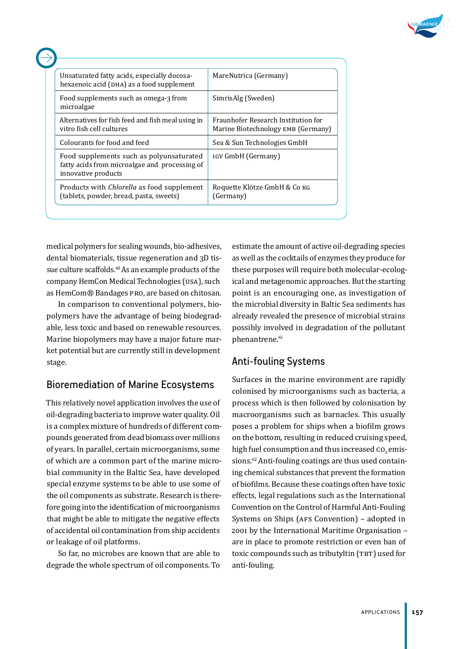

| Unsaturated fatty acids, especially docosa-<br>hexaenoic acid (DHA) as a food supplement                         | MareNutrica (Germany)                                                     |
|------------------------------------------------------------------------------------------------------------------|---------------------------------------------------------------------------|
| Food supplements such as omega-3 from<br>microalgae                                                              | SimrisAlg (Sweden)                                                        |
| Alternatives for fish feed and fish meal using in<br>vitro fish cell cultures                                    | Fraunhofer Research Institution for<br>Marine Biotechnology EMB (Germany) |
| Colourants for food and feed                                                                                     | Sea & Sun Technologies GmbH                                               |
| Food supplements such as polyunsaturated<br>fatty acids from microalgae and processing of<br>innovative products | IGV GmbH (Germany)                                                        |
| Products with <i>Chlorella</i> as food supplement<br>(tablets, powder, bread, pasta, sweets)                     | Roquette Klötze GmbH & Со кс<br>(Germany)                                 |

medical polymers for sealing wounds, bio-adhesives, dental biomaterials, tissue regeneration and 3D tissue culture scaffolds.<sup>60</sup>As an example products of the company HemCon Medical Technologies (USA), such as HemCom® Bandages PRO, are based on chitosan.

In comparison to conventional polymers, biopolymers have the advantage of being biodegradable, less toxic and based on renewable resources. Marine biopolymers may have a major future market potential but are currently still in development stage.

# Bioremediation of Marine Ecosystems

This relatively novel application involves the use of oil-degrading bacteria to improve water quality. Oil is a complex mixture of hundreds of different compounds generated from dead biomass over millions of years. In parallel, certain microorganisms, some of which are a common part of the marine microbial community in the Baltic Sea, have developed special enzyme systems to be able to use some of the oil components as substrate. Research is therefore going into the identification of microorganisms that might be able to mitigate the negative effects of accidental oil contamination from ship accidents or leakage of oil platforms.

So far, no microbes are known that are able to degrade the whole spectrum of oil components. To estimate the amount of active oil-degrading species as well as the cocktails of enzymes they produce for these purposes will require both molecular-ecological and metagenomic approaches. But the starting point is an encouraging one, as investigation of the microbial diversity in Baltic Sea sediments has already revealed the presence of microbial strains possibly involved in degradation of the pollutant phenantrene.<sup>61</sup>

# Anti-fouling Systems

Surfaces in the marine environment are rapidly colonised by microorganisms such as bacteria, a process which is then followed by colonisation by macroorganisms such as barnacles. This usually poses a problem for ships when a biofilm grows on the bottom, resulting in reduced cruising speed, high fuel consumption and thus increased  $\text{co}, \text{emis}$ sions.<sup>62</sup> Anti-fouling coatings are thus used containing chemical substances that prevent the formation of biofilms. Because these coatings often have toxic effects, legal regulations such as the International Convention on the Control of Harmful Anti-Fouling Systems on Ships (AFS Convention) – adopted in 2001 by the International Maritime Organisation – are in place to promote restriction or even ban of toxic compounds such as tributyltin (TBT) used for anti-fouling.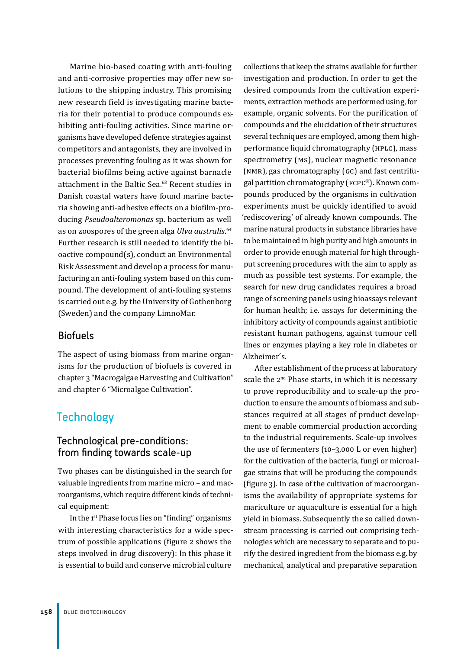Marine bio-based coating with anti-fouling and anti-corrosive properties may offer new solutions to the shipping industry. This promising new research field is investigating marine bacteria for their potential to produce compounds exhibiting anti-fouling activities. Since marine organisms have developed defence strategies against competitors and antagonists, they are involved in processes preventing fouling as it was shown for bacterial biofilms being active against barnacle attachment in the Baltic Sea.<sup>63</sup> Recent studies in Danish coastal waters have found marine bacteria showing anti-adhesive effects on a biofilm-producing *Pseudoalteromonas* sp. bacterium as well as on zoospores of the green alga *Ulva australis*. 64 Further research is still needed to identify the bioactive compound(s), conduct an Environmental Risk Assessment and develop a process for manufacturing an anti-fouling system based on this compound. The development of anti-fouling systems is carried out e.g. by the University of Gothenborg (Sweden) and the company LimnoMar.

#### Biofuels

The aspect of using biomass from marine organisms for the production of biofuels is covered in chapter 3 "Macrogalgae Harvesting and Cultivation" and chapter 6 "Microalgae Cultivation".

# **Technology**

#### Technological pre-conditions: from finding towards scale-up

Two phases can be distinguished in the search for valuable ingredients from marine micro – and macroorganisms, which require different kinds of technical equipment:

In the 1<sup>st</sup> Phase focus lies on "finding" organisms with interesting characteristics for a wide spectrum of possible applications (figure 2 shows the steps involved in drug discovery): In this phase it is essential to build and conserve microbial culture

collections that keep the strains available for further investigation and production. In order to get the desired compounds from the cultivation experiments, extraction methods are performed using, for example, organic solvents. For the purification of compounds and the elucidation of their structures several techniques are employed, among them highperformance liquid chromatography (HPLC), mass spectrometry (MS), nuclear magnetic resonance (NMR), gas chromatography (GC) and fast centrifugal partition chromatography (FCPC®). Known compounds produced by the organisms in cultivation experiments must be quickly identified to avoid 'rediscovering' of already known compounds. The marine natural products in substance libraries have to be maintained in high purity and high amounts in order to provide enough material for high throughput screening procedures with the aim to apply as much as possible test systems. For example, the search for new drug candidates requires a broad range of screening panels using bioassays relevant for human health; i.e. assays for determining the inhibitory activity of compounds against antibiotic resistant human pathogens, against tumour cell lines or enzymes playing a key role in diabetes or Alzheimer´s.

After establishment of the process at laboratory scale the 2<sup>nd</sup> Phase starts, in which it is necessary to prove reproducibility and to scale-up the production to ensure the amounts of biomass and substances required at all stages of product development to enable commercial production according to the industrial requirements. Scale-up involves the use of fermenters (10–3,000 L or even higher) for the cultivation of the bacteria, fungi or microalgae strains that will be producing the compounds (figure 3). In case of the cultivation of macroorganisms the availability of appropriate systems for mariculture or aquaculture is essential for a high yield in biomass. Subsequently the so called downstream processing is carried out comprising technologies which are necessary to separate and to purify the desired ingredient from the biomass e.g. by mechanical, analytical and preparative separation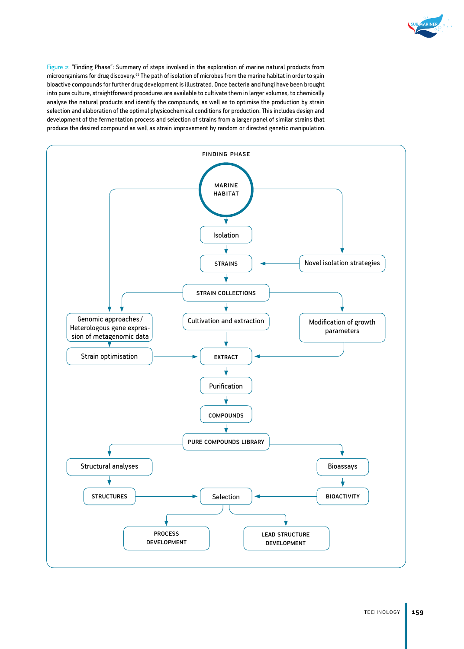

Figure 2: "Finding Phase": Summary of steps involved in the exploration of marine natural products from microorganisms for drug discovery.<sup>65</sup> The path of isolation of microbes from the marine habitat in order to gain bioactive compounds for further drug development is illustrated. Once bacteria and fungi have been brought into pure culture, straightforward procedures are available to cultivate them in larger volumes, to chemically analyse the natural products and identify the compounds, as well as to optimise the production by strain selection and elaboration of the optimal physicochemical conditions for production. This includes design and development of the fermentation process and selection of strains from a larger panel of similar strains that produce the desired compound as well as strain improvement by random or directed genetic manipulation.

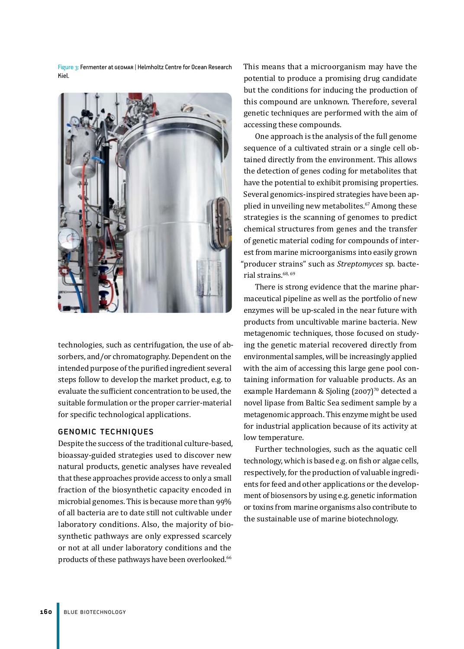Figure 3: Fermenter at GEOMAR | Helmholtz Centre for Ocean Research Kiel.



technologies, such as centrifugation, the use of absorbers, and/or chromatography. Dependent on the intended purpose of the purified ingredient several steps follow to develop the market product, e.g. to evaluate the sufficient concentration to be used, the suitable formulation or the proper carrier-material for specific technological applications.

#### Genomic Techniques

Despite the success of the traditional culture-based, bioassay-guided strategies used to discover new natural products, genetic analyses have revealed that these approaches provide access to only a small fraction of the biosynthetic capacity encoded in microbial genomes. This is because more than 99% of all bacteria are to date still not cultivable under laboratory conditions. Also, the majority of biosynthetic pathways are only expressed scarcely or not at all under laboratory conditions and the products of these pathways have been overlooked.<sup>66</sup>

This means that a microorganism may have the potential to produce a promising drug candidate but the conditions for inducing the production of this compound are unknown. Therefore, several genetic techniques are performed with the aim of accessing these compounds.

One approach is the analysis of the full genome sequence of a cultivated strain or a single cell obtained directly from the environment. This allows the detection of genes coding for metabolites that have the potential to exhibit promising properties. Several genomics-inspired strategies have been applied in unveiling new metabolites.<sup>67</sup> Among these strategies is the scanning of genomes to predict chemical structures from genes and the transfer of genetic material coding for compounds of interest from marine microorganisms into easily grown "producer strains" such as *Streptomyces* sp. bacterial strains.<sup>68, 69</sup>

There is strong evidence that the marine pharmaceutical pipeline as well as the portfolio of new enzymes will be up-scaled in the near future with products from uncultivable marine bacteria. New metagenomic techniques, those focused on studying the genetic material recovered directly from environmental samples, will be increasingly applied with the aim of accessing this large gene pool containing information for valuable products. As an example Hardemann & Sjoling (2007)<sup>70</sup> detected a novel lipase from Baltic Sea sediment sample by a metagenomic approach. This enzyme might be used for industrial application because of its activity at low temperature.

Further technologies, such as the aquatic cell technology, which is based e.g. on fish or algae cells, respectively, for the production of valuable ingredients for feed and other applications or the development of biosensors by using e.g. genetic information or toxins from marine organisms also contribute to the sustainable use of marine biotechnology.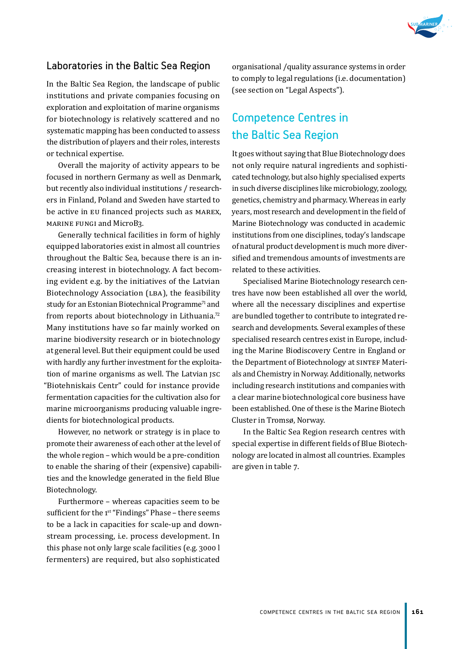

#### Laboratories in the Baltic Sea Region

In the Baltic Sea Region, the landscape of public institutions and private companies focusing on exploration and exploitation of marine organisms for biotechnology is relatively scattered and no systematic mapping has been conducted to assess the distribution of players and their roles, interests or technical expertise.

Overall the majority of activity appears to be focused in northern Germany as well as Denmark, but recently also individual institutions / researchers in Finland, Poland and Sweden have started to be active in EU financed projects such as MAREX, MARINE FUNGI and MicroB3.

Generally technical facilities in form of highly equipped laboratories exist in almost all countries throughout the Baltic Sea, because there is an increasing interest in biotechnology. A fact becoming evident e.g. by the initiatives of the Latvian Biotechnology Association (LBA), the feasibility study for an Estonian Biotechnical Programme<sup>71</sup> and from reports about biotechnology in Lithuania.<sup>72</sup> Many institutions have so far mainly worked on marine biodiversity research or in biotechnology at general level. But their equipment could be used with hardly any further investment for the exploitation of marine organisms as well. The Latvian ISC "Biotehniskais Centr" could for instance provide fermentation capacities for the cultivation also for marine microorganisms producing valuable ingredients for biotechnological products.

However, no network or strategy is in place to promote their awareness of each other at the level of the whole region – which would be a pre-condition to enable the sharing of their (expensive) capabilities and the knowledge generated in the field Blue Biotechnology.

Furthermore – whereas capacities seem to be sufficient for the  $1<sup>st</sup>$  "Findings" Phase – there seems to be a lack in capacities for scale-up and downstream processing, i.e. process development. In this phase not only large scale facilities (e.g. 3000 l fermenters) are required, but also sophisticated

organisational /quality assurance systems in order to comply to legal regulations (i.e. documentation) (see section on "Legal Aspects").

# Competence Centres in the Baltic Sea Region

It goes without saying that Blue Biotechnology does not only require natural ingredients and sophisticated technology, but also highly specialised experts in such diverse disciplines like microbiology, zoology, genetics, chemistry and pharmacy. Whereas in early years, most research and development in the field of Marine Biotechnology was conducted in academic institutions from one disciplines, today's landscape of natural product development is much more diversified and tremendous amounts of investments are related to these activities.

Specialised Marine Biotechnology research centres have now been established all over the world, where all the necessary disciplines and expertise are bundled together to contribute to integrated research and developments. Several examples of these specialised research centres exist in Europe, including the Marine Biodiscovery Centre in England or the Department of Biotechnology at SINTEF Materials and Chemistry in Norway. Additionally, networks including research institutions and companies with a clear marine biotechnological core business have been established. One of these is the Marine Biotech Cluster in Tromsø, Norway.

In the Baltic Sea Region research centres with special expertise in different fields of Blue Biotechnology are located in almost all countries. Examples are given in table 7.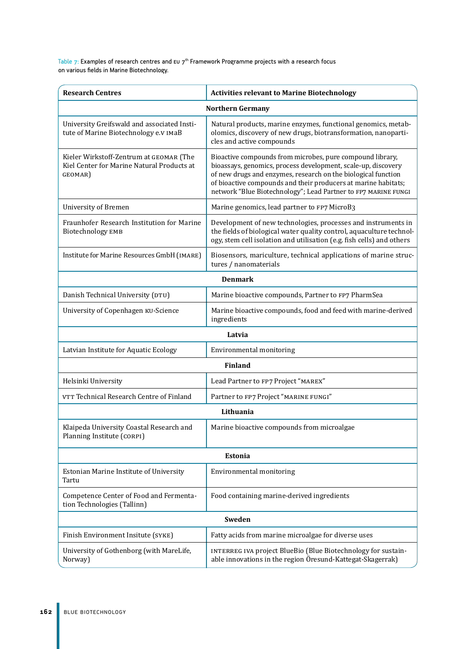Table 7: Examples of research centres and  $\epsilon$ u 7<sup>th</sup> Framework Programme projects with a research focus on various fields in Marine Biotechnology.

| <b>Research Centres</b>                                                                          | <b>Activities relevant to Marine Biotechnology</b>                                                                                                                                                                                                                                                                              |  |  |  |
|--------------------------------------------------------------------------------------------------|---------------------------------------------------------------------------------------------------------------------------------------------------------------------------------------------------------------------------------------------------------------------------------------------------------------------------------|--|--|--|
| <b>Northern Germany</b>                                                                          |                                                                                                                                                                                                                                                                                                                                 |  |  |  |
| University Greifswald and associated Insti-<br>tute of Marine Biotechnology e.v IMaB             | Natural products, marine enzymes, functional genomics, metab-<br>olomics, discovery of new drugs, biotransformation, nanoparti-<br>cles and active compounds                                                                                                                                                                    |  |  |  |
| Kieler Wirkstoff-Zentrum at GEOMAR (The<br>Kiel Center for Marine Natural Products at<br>GEOMAR) | Bioactive compounds from microbes, pure compound library,<br>bioassays, genomics, process development, scale-up, discovery<br>of new drugs and enzymes, research on the biological function<br>of bioactive compounds and their producers at marine habitats;<br>network "Blue Biotechnology"; Lead Partner to FP7 MARINE FUNGI |  |  |  |
| <b>University of Bremen</b>                                                                      | Marine genomics, lead partner to FP7 MicroB3                                                                                                                                                                                                                                                                                    |  |  |  |
| Fraunhofer Research Institution for Marine<br>Biotechnology EMB                                  | Development of new technologies, processes and instruments in<br>the fields of biological water quality control, aquaculture technol-<br>ogy, stem cell isolation and utilisation (e.g. fish cells) and others                                                                                                                  |  |  |  |
| Institute for Marine Resources GmbH (IMARE)                                                      | Biosensors, mariculture, technical applications of marine struc-<br>tures / nanomaterials                                                                                                                                                                                                                                       |  |  |  |
|                                                                                                  | <b>Denmark</b>                                                                                                                                                                                                                                                                                                                  |  |  |  |
| Danish Technical University (DTU)                                                                | Marine bioactive compounds, Partner to FP7 PharmSea                                                                                                                                                                                                                                                                             |  |  |  |
| University of Copenhagen KU-Science                                                              | Marine bioactive compounds, food and feed with marine-derived<br>ingredients                                                                                                                                                                                                                                                    |  |  |  |
|                                                                                                  | Latvia                                                                                                                                                                                                                                                                                                                          |  |  |  |
| Latvian Institute for Aquatic Ecology                                                            | Environmental monitoring                                                                                                                                                                                                                                                                                                        |  |  |  |
|                                                                                                  | <b>Finland</b>                                                                                                                                                                                                                                                                                                                  |  |  |  |
| Helsinki University                                                                              | Lead Partner to FP7 Project "MAREX"                                                                                                                                                                                                                                                                                             |  |  |  |
| VTT Technical Research Centre of Finland                                                         | Partner to FP7 Project "MARINE FUNGI"                                                                                                                                                                                                                                                                                           |  |  |  |
|                                                                                                  | Lithuania                                                                                                                                                                                                                                                                                                                       |  |  |  |
| Klaipeda University Coastal Research and<br>Planning Institute (CORPI)                           | Marine bioactive compounds from microalgae                                                                                                                                                                                                                                                                                      |  |  |  |
|                                                                                                  | Estonia                                                                                                                                                                                                                                                                                                                         |  |  |  |
| Estonian Marine Institute of University<br>Tartu                                                 | Environmental monitoring                                                                                                                                                                                                                                                                                                        |  |  |  |
| Competence Center of Food and Fermenta-<br>tion Technologies (Tallinn)                           | Food containing marine-derived ingredients                                                                                                                                                                                                                                                                                      |  |  |  |
|                                                                                                  | Sweden                                                                                                                                                                                                                                                                                                                          |  |  |  |
| Finish Environment Insitute (SYKE)                                                               | Fatty acids from marine microalgae for diverse uses                                                                                                                                                                                                                                                                             |  |  |  |
| University of Gothenborg (with MareLife,<br>Norway)                                              | INTERREG IVA project BlueBio (Blue Biotechnology for sustain-<br>able innovations in the region Öresund-Kattegat-Skagerrak)                                                                                                                                                                                                     |  |  |  |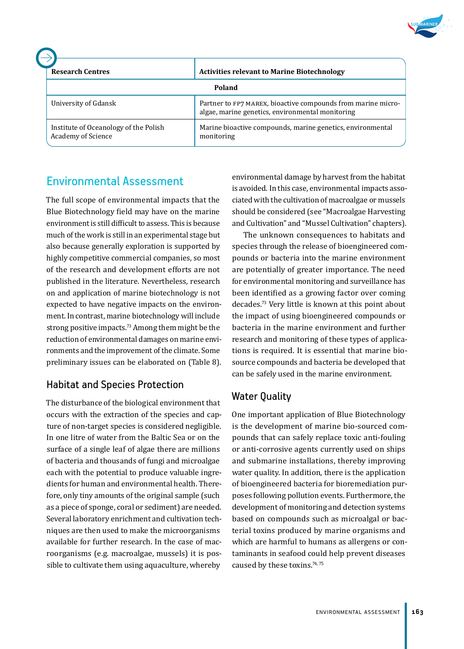

| <b>Research Centres</b>                                     | <b>Activities relevant to Marine Biotechnology</b>                                                               |
|-------------------------------------------------------------|------------------------------------------------------------------------------------------------------------------|
|                                                             | Poland                                                                                                           |
| University of Gdansk                                        | Partner to FP7 MAREX, bioactive compounds from marine micro-<br>algae, marine genetics, environmental monitoring |
| Institute of Oceanology of the Polish<br>Academy of Science | Marine bioactive compounds, marine genetics, environmental<br>monitoring                                         |

# Environmental Assessment

The full scope of environmental impacts that the Blue Biotechnology field may have on the marine environment is still difficult to assess. This is because much of the work is still in an experimental stage but also because generally exploration is supported by highly competitive commercial companies, so most of the research and development efforts are not published in the literature. Nevertheless, research on and application of marine biotechnology is not expected to have negative impacts on the environment. In contrast, marine biotechnology will include strong positive impacts.<sup>73</sup> Among them might be the reduction of environmental damages on marine environments and the improvement of the climate. Some preliminary issues can be elaborated on (Table 8).

# Habitat and Species Protection

The disturbance of the biological environment that occurs with the extraction of the species and capture of non-target species is considered negligible. In one litre of water from the Baltic Sea or on the surface of a single leaf of algae there are millions of bacteria and thousands of fungi and microalgae each with the potential to produce valuable ingredients for human and environmental health. Therefore, only tiny amounts of the original sample (such as a piece of sponge, coral or sediment) are needed. Several laboratory enrichment and cultivation techniques are then used to make the microorganisms available for further research. In the case of macroorganisms (e.g. macroalgae, mussels) it is possible to cultivate them using aquaculture, whereby

environmental damage by harvest from the habitat is avoided. In this case, environmental impacts associated with the cultivation of macroalgae or mussels should be considered (see "Macroalgae Harvesting and Cultivation" and "Mussel Cultivation" chapters).

The unknown consequences to habitats and species through the release of bioengineered compounds or bacteria into the marine environment are potentially of greater importance. The need for environmental monitoring and surveillance has been identified as a growing factor over coming decades.<sup>73</sup> Very little is known at this point about the impact of using bioengineered compounds or bacteria in the marine environment and further research and monitoring of these types of applications is required. It is essential that marine biosource compounds and bacteria be developed that can be safely used in the marine environment.

# Water Quality

One important application of Blue Biotechnology is the development of marine bio-sourced compounds that can safely replace toxic anti-fouling or anti-corrosive agents currently used on ships and submarine installations, thereby improving water quality. In addition, there is the application of bioengineered bacteria for bioremediation purposes following pollution events. Furthermore, the development of monitoring and detection systems based on compounds such as microalgal or bacterial toxins produced by marine organisms and which are harmful to humans as allergens or contaminants in seafood could help prevent diseases caused by these toxins.74, 75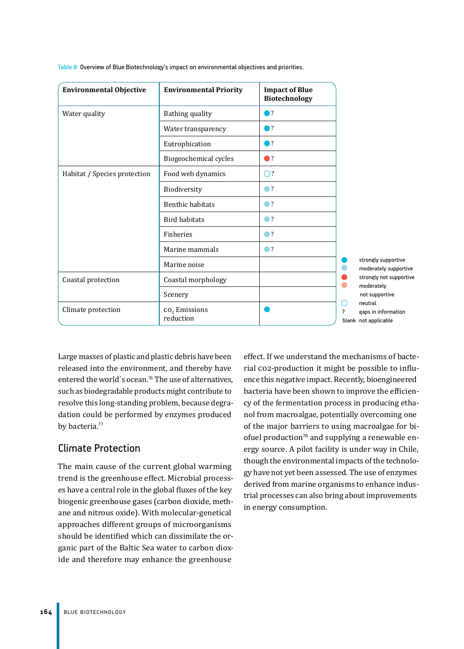| <b>Environmental Objective</b> | <b>Environmental Priority</b>        | <b>Impact of Blue</b><br><b>Biotechnology</b> |                                                                  |
|--------------------------------|--------------------------------------|-----------------------------------------------|------------------------------------------------------------------|
| Water quality                  | Bathing quality                      | $\bigcap$ ?                                   |                                                                  |
|                                | Water transparency                   | ●?                                            |                                                                  |
|                                | Eutrophication                       | $\bigcap$ ?                                   |                                                                  |
|                                | Biogeochemical cycles                | $\bullet$                                     |                                                                  |
| Habitat / Species protection   | Food web dynamics                    | $\bigcirc$ ?                                  |                                                                  |
|                                | Biodiversity                         | $\bullet$ ?                                   |                                                                  |
|                                | <b>Benthic habitats</b>              | $\bullet$ ?                                   |                                                                  |
|                                | <b>Bird habitats</b>                 | $\bullet$ ?                                   |                                                                  |
|                                | Fisheries                            | $\bullet$ ?                                   |                                                                  |
|                                | Marine mammals                       | $\bigcirc$ ?                                  |                                                                  |
|                                | Marine noise                         |                                               | strongly supportive<br>moderately supportive                     |
| Coastal protection             | Coastal morphology                   |                                               | strongly not supportive<br>moderately                            |
|                                | Scenery                              |                                               | not supportive                                                   |
| Climate protection             | $\text{CO}_2$ Emissions<br>reduction |                                               | neutral<br>0<br>?<br>gaps in information<br>blank not applicable |

Table 8: Overview of Blue Biotechnology's impact on environmental objectives and priorities.

Large masses of plastic and plastic debris have been released into the environment, and thereby have entered the world's ocean.<sup>76</sup> The use of alternatives, such as biodegradable products might contribute to resolve this long-standing problem, because degradation could be performed by enzymes produced by bacteria.<sup>77</sup>

# Climate Protection

The main cause of the current global warming trend is the greenhouse effect. Microbial processes have a central role in the global fluxes of the key biogenic greenhouse gases (carbon dioxide, methane and nitrous oxide). With molecular-genetical approaches different groups of microorganisms should be identified which can dissimilate the organic part of the Baltic Sea water to carbon dioxide and therefore may enhance the greenhouse

effect. If we understand the mechanisms of bacterial CO2-production it might be possible to influence this negative impact. Recently, bioengineered bacteria have been shown to improve the efficiency of the fermentation process in producing ethanol from macroalgae, potentially overcoming one of the major barriers to using macroalgae for biofuel production $78$  and supplying a renewable energy source. A pilot facility is under way in Chile, though the environmental impacts of the technology have not yet been assessed. The use of enzymes derived from marine organisms to enhance industrial processes can also bring about improvements in energy consumption.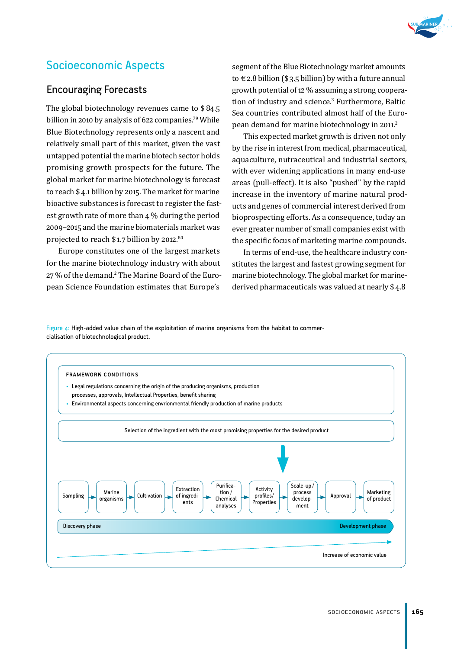

# Socioeconomic Aspects

#### Encouraging Forecasts

The global biotechnology revenues came to \$ 84.5 billion in 2010 by analysis of 622 companies.<sup>79</sup> While Blue Biotechnology represents only a nascent and relatively small part of this market, given the vast untapped potential the marine biotech sector holds promising growth prospects for the future. The global market for marine biotechnology is forecast to reach \$ 4.1 billion by 2015. The market for marine bioactive substances is forecast to register the fastest growth rate of more than 4 % during the period 2009–2015 and the marine biomaterials market was projected to reach \$ 1.7 billion by 2012.80

Europe constitutes one of the largest markets for the marine biotechnology industry with about 27 % of the demand.2 The Marine Board of the European Science Foundation estimates that Europe's

segment of the Blue Biotechnology market amounts to € 2.8 billion (\$ 3.5 billion) by with a future annual growth potential of 12 % assuming a strong cooperation of industry and science.<sup>3</sup> Furthermore, Baltic Sea countries contributed almost half of the European demand for marine biotechnology in 2011.<sup>2</sup>

This expected market growth is driven not only by the rise in interest from medical, pharmaceutical, aquaculture, nutraceutical and industrial sectors, with ever widening applications in many end-use areas (pull-effect). It is also "pushed" by the rapid increase in the inventory of marine natural products and genes of commercial interest derived from bioprospecting efforts. As a consequence, today an ever greater number of small companies exist with the specific focus of marketing marine compounds.

In terms of end-use, the healthcare industry constitutes the largest and fastest growing segment for marine biotechnology. The global market for marinederived pharmaceuticals was valued at nearly \$ 4.8

Figure  $4$ : High-added value chain of the exploitation of marine organisms from the habitat to commercialisation of biotechnological product.

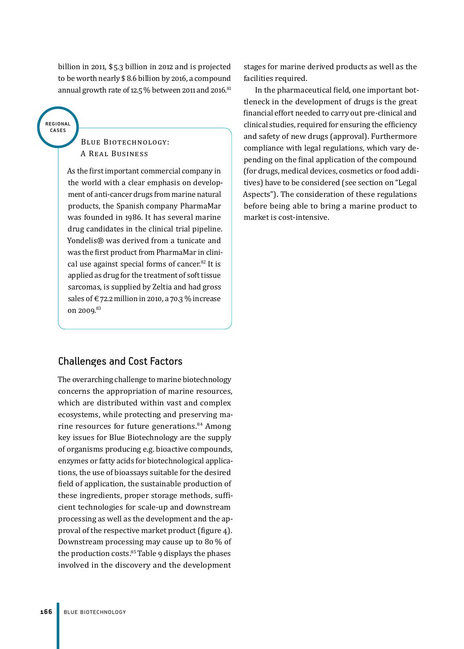billion in 2011, \$ 5.3 billion in 2012 and is projected to be worth nearly \$ 8.6 billion by 2016, a compound annual growth rate of 12.5 $%$  between 2011 and 2016. $81$ 

#### regional cases

#### Blue Biotechnology: A Real Business

As the first important commercial company in the world with a clear emphasis on development of anti-cancer drugs from marine natural products, the Spanish company PharmaMar was founded in 1986. It has several marine drug candidates in the clinical trial pipeline. Yondelis® was derived from a tunicate and was the first product from PharmaMar in clinical use against special forms of cancer.<sup>82</sup> It is applied as drug for the treatment of soft tissue sarcomas, is supplied by Zeltia and had gross sales of  $\epsilon$  72.2 million in 2010, a 70.3 % increase on 2009*.* 83

# Challenges and Cost Factors

The overarching challenge to marine biotechnology concerns the appropriation of marine resources, which are distributed within vast and complex ecosystems, while protecting and preserving marine resources for future generations.<sup>84</sup> Among key issues for Blue Biotechnology are the supply of organisms producing e.g. bioactive compounds, enzymes or fatty acids for biotechnological applications, the use of bioassays suitable for the desired field of application, the sustainable production of these ingredients, proper storage methods, sufficient technologies for scale-up and downstream processing as well as the development and the approval of the respective market product (figure 4). Downstream processing may cause up to 80 % of the production costs.<sup>85</sup> Table 9 displays the phases involved in the discovery and the development

stages for marine derived products as well as the facilities required.

In the pharmaceutical field, one important bottleneck in the development of drugs is the great financial effort needed to carry out pre-clinical and clinical studies, required for ensuring the efficiency and safety of new drugs (approval). Furthermore compliance with legal regulations, which vary depending on the final application of the compound (for drugs, medical devices, cosmetics or food additives) have to be considered (see section on "Legal Aspects"). The consideration of these regulations before being able to bring a marine product to market is cost-intensive.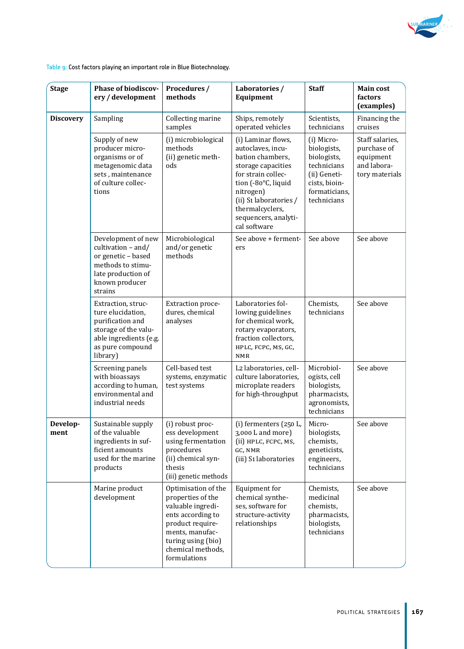

Table 9: Cost factors playing an important role in Blue Biotechnology.

| <b>Stage</b>     | <b>Phase of biodiscov-</b><br>ery / development                                                                                               | Procedures /<br>methods                                                                                                                                                              | Laboratories /<br>Equipment                                                                                                                                                                                                      | <b>Staff</b>                                                                                                             | <b>Main cost</b><br>factors<br>(examples)                                    |
|------------------|-----------------------------------------------------------------------------------------------------------------------------------------------|--------------------------------------------------------------------------------------------------------------------------------------------------------------------------------------|----------------------------------------------------------------------------------------------------------------------------------------------------------------------------------------------------------------------------------|--------------------------------------------------------------------------------------------------------------------------|------------------------------------------------------------------------------|
| <b>Discovery</b> | Sampling                                                                                                                                      | Collecting marine<br>samples                                                                                                                                                         | Ships, remotely<br>operated vehicles                                                                                                                                                                                             | Scientists,<br>technicians                                                                                               | Financing the<br>cruises                                                     |
|                  | Supply of new<br>producer micro-<br>organisms or of<br>metagenomic data<br>sets, maintenance<br>of culture collec-<br>tions                   | (i) microbiological<br>methods<br>(ii) genetic meth-<br>ods                                                                                                                          | (i) Laminar flows,<br>autoclaves, incu-<br>bation chambers,<br>storage capacities<br>for strain collec-<br>tion (-80°C, liquid<br>nitrogen)<br>(ii) S1 laboratories /<br>thermalcyclers,<br>sequencers, analyti-<br>cal software | (i) Micro-<br>biologists,<br>biologists,<br>technicians<br>(ii) Geneti-<br>cists, bioin-<br>formaticians,<br>technicians | Staff salaries,<br>purchase of<br>equipment<br>and labora-<br>tory materials |
|                  | Development of new<br>cultivation $-$ and/<br>or genetic - based<br>methods to stimu-<br>late production of<br>known producer<br>strains      | Microbiological<br>and/or genetic<br>methods                                                                                                                                         | See above + ferment-<br>ers                                                                                                                                                                                                      | See above                                                                                                                | See above                                                                    |
|                  | Extraction, struc-<br>ture elucidation,<br>purification and<br>storage of the valu-<br>able ingredients (e.g.<br>as pure compound<br>library) | Extraction proce-<br>dures, chemical<br>analyses                                                                                                                                     | Laboratories fol-<br>lowing guidelines<br>for chemical work,<br>rotary evaporators,<br>fraction collectors,<br>HPLC, FCPC, MS, GC,<br><b>NMR</b>                                                                                 | Chemists,<br>technicians                                                                                                 | See above                                                                    |
|                  | Screening panels<br>with bioassays<br>according to human,<br>environmental and<br>industrial needs                                            | Cell-based test<br>systems, enzymatic<br>test systems                                                                                                                                | L2 laboratories, cell-<br>culture laboratories,<br>microplate readers<br>for high-throughput                                                                                                                                     | Microbiol-<br>ogists, cell<br>biologists,<br>pharmacists,<br>agronomists,<br>technicians                                 | See above                                                                    |
| Develop-<br>ment | Sustainable supply<br>of the valuable<br>ingredients in suf-<br>ficient amounts<br>used for the marine<br>products                            | (i) robust proc-<br>ess development<br>using fermentation<br>procedures<br>(ii) chemical syn-<br>thesis<br>(iii) genetic methods                                                     | (i) fermenters (250 L,<br>3,000 L and more)<br>(ii) HPLC, FCPC, MS,<br>GC, NMR<br>(iii) S1 laboratories                                                                                                                          | Micro-<br>biologists,<br>chemists,<br>geneticists,<br>engineers,<br>technicians                                          | See above                                                                    |
|                  | Marine product<br>development                                                                                                                 | Optimisation of the<br>properties of the<br>valuable ingredi-<br>ents according to<br>product require-<br>ments, manufac-<br>turing using (bio)<br>chemical methods,<br>formulations | Equipment for<br>chemical synthe-<br>ses, software for<br>structure-activity<br>relationships                                                                                                                                    | Chemists,<br>medicinal<br>chemists,<br>pharmacists,<br>biologists,<br>technicians                                        | See above                                                                    |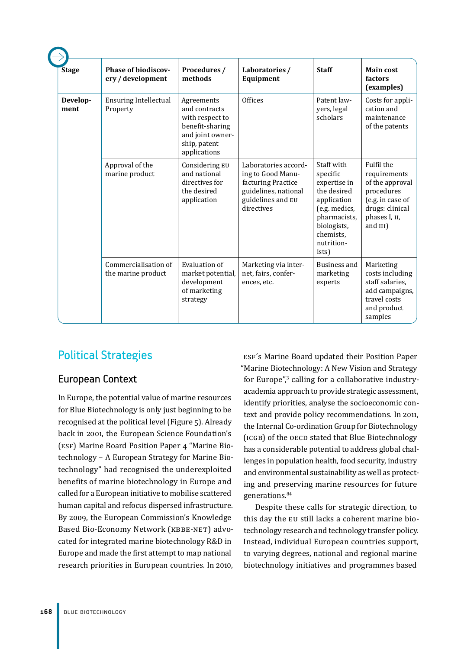| <b>Stage</b>     | <b>Phase of biodiscov-</b><br>ery / development | Procedures /<br>methods                                                                                               | Laboratories /<br>Equipment                                                                                                | <b>Staff</b>                                                                                                                                             | <b>Main cost</b><br>factors<br>(examples)                                                                                          |
|------------------|-------------------------------------------------|-----------------------------------------------------------------------------------------------------------------------|----------------------------------------------------------------------------------------------------------------------------|----------------------------------------------------------------------------------------------------------------------------------------------------------|------------------------------------------------------------------------------------------------------------------------------------|
| Develop-<br>ment | <b>Ensuring Intellectual</b><br>Property        | Agreements<br>and contracts<br>with respect to<br>benefit-sharing<br>and joint owner-<br>ship, patent<br>applications | <b>Offices</b>                                                                                                             | Patent law-<br>yers, legal<br>scholars                                                                                                                   | Costs for appli-<br>cation and<br>maintenance<br>of the patents                                                                    |
|                  | Approval of the<br>marine product               | Considering EU<br>and national<br>directives for<br>the desired<br>application                                        | Laboratories accord-<br>ing to Good Manu-<br>facturing Practice<br>guidelines, national<br>guidelines and EU<br>directives | Staff with<br>specific<br>expertise in<br>the desired<br>application<br>(e.g. medics,<br>pharmacists,<br>biologists,<br>chemists.<br>nutrition-<br>ists) | Fulfil the<br>requirements<br>of the approval<br>procedures<br>(e.g. in case of<br>drugs: clinical<br>phases I, II,<br>and $III$ ) |
|                  | Commercialisation of<br>the marine product      | Evaluation of<br>market potential,<br>development<br>of marketing<br>strategy                                         | Marketing via inter-<br>net, fairs, confer-<br>ences, etc.                                                                 | Business and<br>marketing<br>experts                                                                                                                     | Marketing<br>costs including<br>staff salaries,<br>add campaigns,<br>travel costs<br>and product<br>samples                        |

# Political Strategies

## European Context

In Europe, the potential value of marine resources for Blue Biotechnology is only just beginning to be recognised at the political level (Figure 5). Already back in 2001, the European Science Foundation's (ESF) Marine Board Position Paper 4 "Marine Biotechnology – A European Strategy for Marine Biotechnology" had recognised the underexploited benefits of marine biotechnology in Europe and called for a European initiative to mobilise scattered human capital and refocus dispersed infrastructure. By 2009, the European Commission's Knowledge Based Bio-Economy Network (KBBE-NET) advocated for integrated marine biotechnology R&D in Europe and made the first attempt to map national research priorities in European countries. In 2010,

ESF´s Marine Board updated their Position Paper "Marine Biotechnology: A New Vision and Strategy for Europe",<sup>3</sup> calling for a collaborative industryacademia approach to provide strategic assessment, identify priorities, analyse the socioeconomic context and provide policy recommendations. In 2011, the Internal Co-ordination Group for Biotechnology (ICGB) of the OECD stated that Blue Biotechnology has a considerable potential to address global challenges in population health, food security, industry and environmental sustainability as well as protecting and preserving marine resources for future generations.<sup>84</sup>

Despite these calls for strategic direction, to this day the EU still lacks a coherent marine biotechnology research and technology transfer policy. Instead, individual European countries support, to varying degrees, national and regional marine biotechnology initiatives and programmes based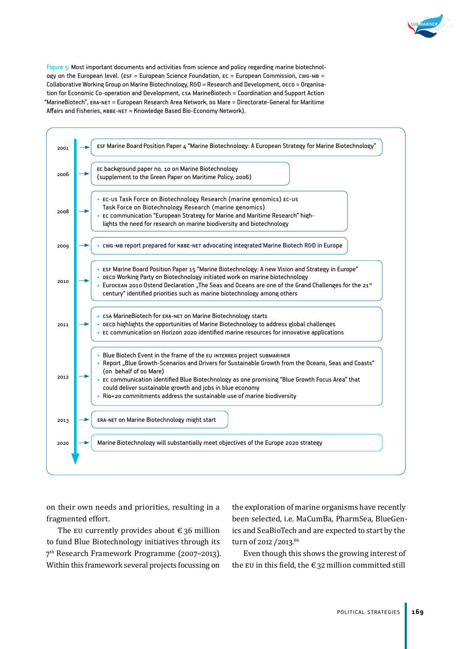



on their own needs and priorities, resulting in a fragmented effort.

The EU currently provides about  $\epsilon$  36 million to fund Blue Biotechnology initiatives through its 7th Research Framework Programme (2007–2013). Within this framework several projects focussing on

the exploration of marine organisms have recently been selected, i.e. MaCumBa, PharmSea, BlueGenics and SeaBioTech and are expected to start by the turn of 2012 / 2013.<sup>86</sup>

Even though this shows the growing interest of the EU in this field, the  $\epsilon$  32 million committed still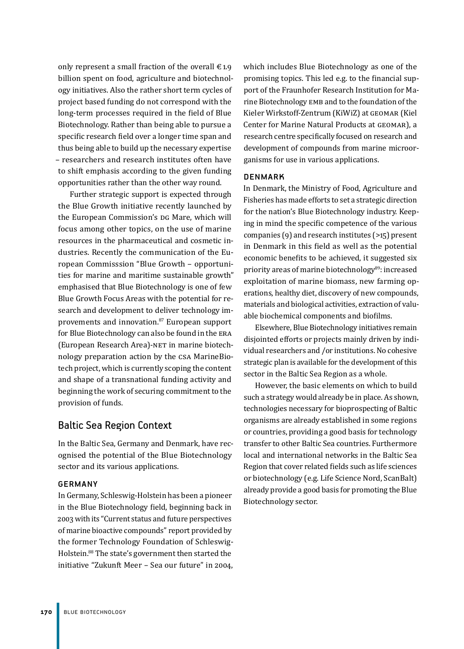only represent a small fraction of the overall  $\epsilon$ 1.9 billion spent on food, agriculture and biotechnology initiatives. Also the rather short term cycles of project based funding do not correspond with the long-term processes required in the field of Blue Biotechnology. Rather than being able to pursue a specific research field over a longer time span and thus being able to build up the necessary expertise – researchers and research institutes often have to shift emphasis according to the given funding opportunities rather than the other way round.

Further strategic support is expected through the Blue Growth initiative recently launched by the European Commission's DG Mare, which will focus among other topics, on the use of marine resources in the pharmaceutical and cosmetic industries. Recently the communication of the European Commisssion "Blue Growth – opportunities for marine and maritime sustainable growth" emphasised that Blue Biotechnology is one of few Blue Growth Focus Areas with the potential for research and development to deliver technology improvements and innovation.<sup>87</sup> European support for Blue Biotechnology can also be found in the ERA (European Research Area)-NET in marine biotechnology preparation action by the CSA MarineBiotech project, which is currently scoping the content and shape of a transnational funding activity and beginning the work of securing commitment to the provision of funds.

# Baltic Sea Region Context

In the Baltic Sea, Germany and Denmark, have recognised the potential of the Blue Biotechnology sector and its various applications.

#### **GERMANY**

In Germany, Schleswig-Holstein has been a pioneer in the Blue Biotechnology field, beginning back in 2003 with its "Current status and future perspectives of marine bioactive compounds" report provided by the former Technology Foundation of Schleswig-Holstein.<sup>88</sup> The state's government then started the initiative "Zukunft Meer – Sea our future" in 2004, which includes Blue Biotechnology as one of the promising topics. This led e.g. to the financial support of the Fraunhofer Research Institution for Marine Biotechnology EMB and to the foundation of the Kieler Wirkstoff-Zentrum (KiWiZ) at GEOMAR (Kiel Center for Marine Natural Products at GEOMAR), a research centre specifically focused on research and development of compounds from marine microorganisms for use in various applications.

#### **DENMARK**

In Denmark, the Ministry of Food, Agriculture and Fisheries has made efforts to set a strategic direction for the nation's Blue Biotechnology industry. Keeping in mind the specific competence of the various companies (9) and research institutes (>15) present in Denmark in this field as well as the potential economic benefits to be achieved, it suggested six priority areas of marine biotechnology<sup>89</sup>: increased exploitation of marine biomass, new farming operations, healthy diet, discovery of new compounds, materials and biological activities, extraction of valuable biochemical components and biofilms.

Elsewhere, Blue Biotechnology initiatives remain disjointed efforts or projects mainly driven by individual researchers and /or institutions. No cohesive strategic plan is available for the development of this sector in the Baltic Sea Region as a whole.

However, the basic elements on which to build such a strategy would already be in place. As shown, technologies necessary for bioprospecting of Baltic organisms are already established in some regions or countries, providing a good basis for technology transfer to other Baltic Sea countries. Furthermore local and international networks in the Baltic Sea Region that cover related fields such as life sciences or biotechnology (e.g. Life Science Nord, ScanBalt) already provide a good basis for promoting the Blue Biotechnology sector.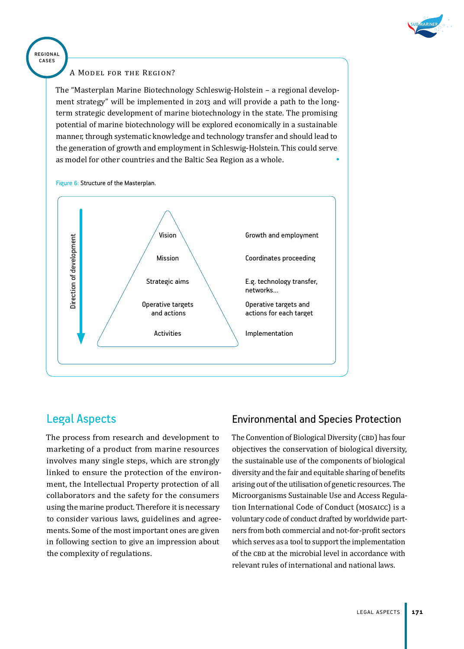

# regional cases

#### A Model for the Region?

The "Masterplan Marine Biotechnology Schleswig-Holstein – a regional development strategy" will be implemented in 2013 and will provide a path to the longterm strategic development of marine biotechnology in the state. The promising potential of marine biotechnology will be explored economically in a sustainable manner, through systematic knowledge and technology transfer and should lead to the generation of growth and employment in Schleswig-Holstein. This could serve as model for other countries and the Baltic Sea Region as a whole. •



Figure 6: Structure of the Masterplan.

# Legal Aspects

The process from research and development to marketing of a product from marine resources involves many single steps, which are strongly linked to ensure the protection of the environment, the Intellectual Property protection of all collaborators and the safety for the consumers using the marine product. Therefore it is necessary to consider various laws, guidelines and agreements. Some of the most important ones are given in following section to give an impression about the complexity of regulations.

# Environmental and Species Protection

The Convention of Biological Diversity (CBD) has four objectives the conservation of biological diversity, the sustainable use of the components of biological diversity and the fair and equitable sharing of benefits arising out of the utilisation of genetic resources. The Microorganisms Sustainable Use and Access Regulation International Code of Conduct (MOSAICC) is a voluntary code of conduct drafted by worldwide partners from both commercial and not-for-profit sectors which serves as a tool to support the implementation of the CBD at the microbial level in accordance with relevant rules of international and national laws.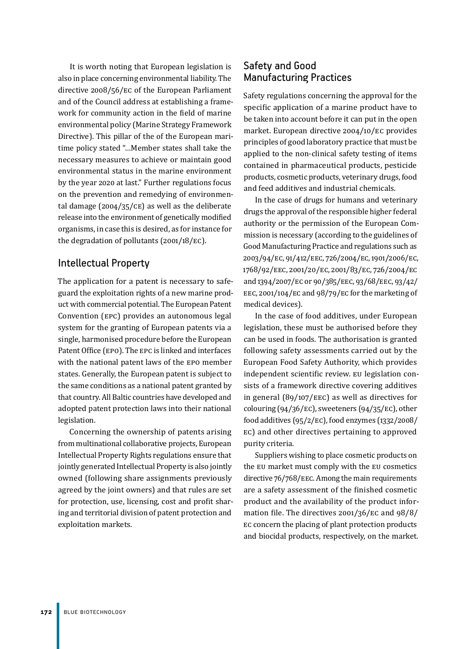It is worth noting that European legislation is also in place concerning environmental liability. The directive 2008/56/EC of the European Parliament and of the Council address at establishing a framework for community action in the field of marine environmental policy (Marine Strategy Framework Directive). This pillar of the of the European maritime policy stated "…Member states shall take the necessary measures to achieve or maintain good environmental status in the marine environment by the year 2020 at last." Further regulations focus on the prevention and remedying of environmental damage (2004/35/CE) as well as the deliberate release into the environment of genetically modified organisms, in case this is desired, as for instance for the degradation of pollutants (2001/18/EC).

## Intellectual Property

The application for a patent is necessary to safeguard the exploitation rights of a new marine product with commercial potential. The European Patent Convention (EPC) provides an autonomous legal system for the granting of European patents via a single, harmonised procedure before the European Patent Office (EPO). The EPC is linked and interfaces with the national patent laws of the EPO member states. Generally, the European patent is subject to the same conditions as a national patent granted by that country. All Baltic countries have developed and adopted patent protection laws into their national legislation.

Concerning the ownership of patents arising from multinational collaborative projects, European Intellectual Property Rights regulations ensure that jointly generated Intellectual Property is also jointly owned (following share assignments previously agreed by the joint owners) and that rules are set for protection, use, licensing, cost and profit sharing and territorial division of patent protection and exploitation markets.

## Safety and Good Manufacturing Practices

Safety regulations concerning the approval for the specific application of a marine product have to be taken into account before it can put in the open market. European directive 2004/10/EC provides principles of good laboratory practice that must be applied to the non-clinical safety testing of items contained in pharmaceutical products, pesticide products, cosmetic products, veterinary drugs, food and feed additives and industrial chemicals.

In the case of drugs for humans and veterinary drugs the approval of the responsible higher federal authority or the permission of the European Commission is necessary (according to the guidelines of Good Manufacturing Practice and regulations such as 2003/94/EC, 91/412/EEC, 726/2004/EC, 1901/2006/EC, 1768/92/EEC, 2001/20/EC, 2001/83/EC, 726/2004/EC and 1394/2007/EC or 90/385/EEC, 93/68/EEC, 93/42/ EEC, 2001/104/EC and 98/79/EC for the marketing of medical devices).

In the case of food additives, under European legislation, these must be authorised before they can be used in foods. The authorisation is granted following safety assessments carried out by the European Food Safety Authority, which provides independent scientific review. EU legislation consists of a framework directive covering additives in general (89/107/EEC) as well as directives for colouring (94/36/EC), sweeteners (94/35/EC), other food additives (95/2/EC), food enzymes (1332/2008/ EC) and other directives pertaining to approved purity criteria.

Suppliers wishing to place cosmetic products on the EU market must comply with the EU cosmetics directive 76/768/EEC. Among the main requirements are a safety assessment of the finished cosmetic product and the availability of the product information file. The directives 2001/36/EC and 98/8/ EC concern the placing of plant protection products and biocidal products, respectively, on the market.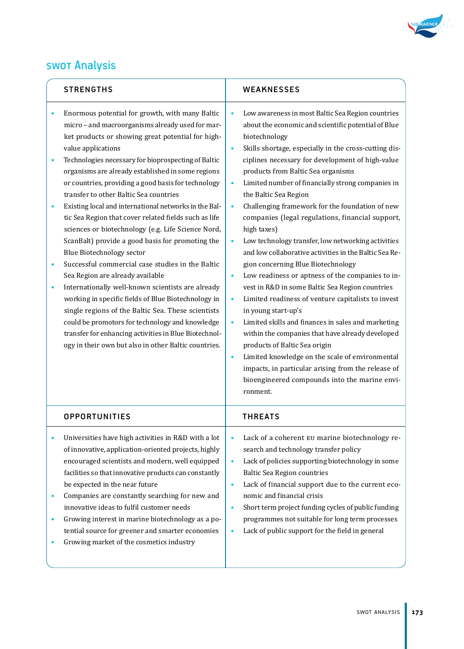

# SWOT Analysis

|                          | <b>STRENGTHS</b>                                                                                                                                                                                                                                                                                                                                                                                                                                                                                                                                                                                                                                                                                                                                                                                                                                                                                                                                                                                                                                                                          | <b>WEAKNESSES</b>                                                                                                                                                                                                                                                                                                                                                                                                                                                                                                                                                                                                                                                                                                                                                                                                                                                                                                                                                                                                                                                                                                                                                                                                                                                |  |
|--------------------------|-------------------------------------------------------------------------------------------------------------------------------------------------------------------------------------------------------------------------------------------------------------------------------------------------------------------------------------------------------------------------------------------------------------------------------------------------------------------------------------------------------------------------------------------------------------------------------------------------------------------------------------------------------------------------------------------------------------------------------------------------------------------------------------------------------------------------------------------------------------------------------------------------------------------------------------------------------------------------------------------------------------------------------------------------------------------------------------------|------------------------------------------------------------------------------------------------------------------------------------------------------------------------------------------------------------------------------------------------------------------------------------------------------------------------------------------------------------------------------------------------------------------------------------------------------------------------------------------------------------------------------------------------------------------------------------------------------------------------------------------------------------------------------------------------------------------------------------------------------------------------------------------------------------------------------------------------------------------------------------------------------------------------------------------------------------------------------------------------------------------------------------------------------------------------------------------------------------------------------------------------------------------------------------------------------------------------------------------------------------------|--|
| $\bullet$<br>۰<br>٠<br>٠ | Enormous potential for growth, with many Baltic<br>micro - and macroorganisms already used for mar-<br>ket products or showing great potential for high-<br>value applications<br>Technologies necessary for bioprospecting of Baltic<br>organisms are already established in some regions<br>or countries, providing a good basis for technology<br>transfer to other Baltic Sea countries<br>Existing local and international networks in the Bal-<br>tic Sea Region that cover related fields such as life<br>sciences or biotechnology (e.g. Life Science Nord,<br>ScanBalt) provide a good basis for promoting the<br><b>Blue Biotechnology sector</b><br>Successful commercial case studies in the Baltic<br>Sea Region are already available<br>Internationally well-known scientists are already<br>working in specific fields of Blue Biotechnology in<br>single regions of the Baltic Sea. These scientists<br>could be promotors for technology and knowledge<br>transfer for enhancing activities in Blue Biotechnol-<br>ogy in their own but also in other Baltic countries. | Low awareness in most Baltic Sea Region countries<br>$\bullet$<br>about the economic and scientific potential of Blue<br>biotechnology<br>Skills shortage, especially in the cross-cutting dis-<br>$\bullet$<br>ciplines necessary for development of high-value<br>products from Baltic Sea organisms<br>Limited number of financially strong companies in<br>$\bullet$<br>the Baltic Sea Region<br>Challenging framework for the foundation of new<br>$\bullet$<br>companies (legal regulations, financial support,<br>high taxes)<br>Low technology transfer, low networking activities<br>$\bullet$<br>and low collaborative activities in the Baltic Sea Re-<br>gion concerning Blue Biotechnology<br>Low readiness or aptness of the companies to in-<br>$\bullet$<br>vest in R&D in some Baltic Sea Region countries<br>Limited readiness of venture capitalists to invest<br>$\bullet$<br>in young start-up's<br>Limited skills and finances in sales and marketing<br>$\bullet$<br>within the companies that have already developed<br>products of Baltic Sea origin<br>Limited knowledge on the scale of environmental<br>$\bullet$<br>impacts, in particular arising from the release of<br>bioengineered compounds into the marine envi-<br>ronment. |  |
|                          | <b>OPPORTUNITIES</b>                                                                                                                                                                                                                                                                                                                                                                                                                                                                                                                                                                                                                                                                                                                                                                                                                                                                                                                                                                                                                                                                      | <b>THREATS</b>                                                                                                                                                                                                                                                                                                                                                                                                                                                                                                                                                                                                                                                                                                                                                                                                                                                                                                                                                                                                                                                                                                                                                                                                                                                   |  |
| ٠<br>$\bullet$           | Universities have high activities in R&D with a lot<br>of innovative, application-oriented projects, highly<br>encouraged scientists and modern, well equipped<br>facilities so that innovative products can constantly<br>be expected in the near future<br>Companies are constantly searching for new and<br>innovative ideas to fulfil customer needs<br>Growing interest in marine biotechnology as a po-<br>tential source for greener and smarter economies<br>Growing market of the cosmetics industry                                                                                                                                                                                                                                                                                                                                                                                                                                                                                                                                                                             | Lack of a coherent EU marine biotechnology re-<br>$\bullet$<br>search and technology transfer policy<br>Lack of policies supporting biotechnology in some<br>$\bullet$<br><b>Baltic Sea Region countries</b><br>Lack of financial support due to the current eco-<br>$\bullet$<br>nomic and financial crisis<br>Short term project funding cycles of public funding<br>$\bullet$<br>programmes not suitable for long term processes<br>Lack of public support for the field in general<br>$\bullet$                                                                                                                                                                                                                                                                                                                                                                                                                                                                                                                                                                                                                                                                                                                                                              |  |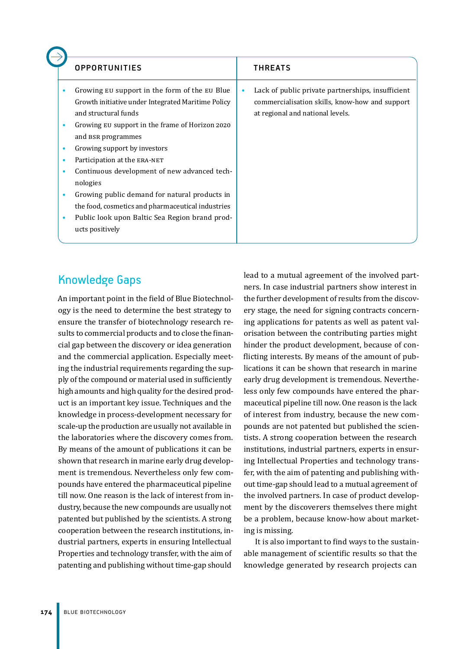|                                 | <b>OPPORTUNITIES</b>                                                                                                                                                                                                                                                                                                                                                                                                                                                                                        | <b>THREATS</b>                                                                                                                                       |
|---------------------------------|-------------------------------------------------------------------------------------------------------------------------------------------------------------------------------------------------------------------------------------------------------------------------------------------------------------------------------------------------------------------------------------------------------------------------------------------------------------------------------------------------------------|------------------------------------------------------------------------------------------------------------------------------------------------------|
| ٠<br>٠<br>٠<br>٠<br>٠<br>٠<br>٠ | Growing EU support in the form of the EU Blue<br>Growth initiative under Integrated Maritime Policy<br>and structural funds<br>Growing EU support in the frame of Horizon 2020<br>and BSR programmes<br>Growing support by investors<br>Participation at the ERA-NET<br>Continuous development of new advanced tech-<br>nologies<br>Growing public demand for natural products in<br>the food, cosmetics and pharmaceutical industries<br>Public look upon Baltic Sea Region brand prod-<br>ucts positively | Lack of public private partnerships, insufficient<br>$\bullet$<br>commercialisation skills, know-how and support<br>at regional and national levels. |

# Knowledge Gaps

An important point in the field of Blue Biotechnology is the need to determine the best strategy to ensure the transfer of biotechnology research results to commercial products and to close the financial gap between the discovery or idea generation and the commercial application. Especially meeting the industrial requirements regarding the supply of the compound or material used in sufficiently high amounts and high quality for the desired product is an important key issue. Techniques and the knowledge in process-development necessary for scale-up the production are usually not available in the laboratories where the discovery comes from. By means of the amount of publications it can be shown that research in marine early drug development is tremendous. Nevertheless only few compounds have entered the pharmaceutical pipeline till now. One reason is the lack of interest from industry, because the new compounds are usually not patented but published by the scientists. A strong cooperation between the research institutions, industrial partners, experts in ensuring Intellectual Properties and technology transfer, with the aim of patenting and publishing without time-gap should

lead to a mutual agreement of the involved partners. In case industrial partners show interest in the further development of results from the discovery stage, the need for signing contracts concerning applications for patents as well as patent valorisation between the contributing parties might hinder the product development, because of conflicting interests. By means of the amount of publications it can be shown that research in marine early drug development is tremendous. Nevertheless only few compounds have entered the pharmaceutical pipeline till now. One reason is the lack of interest from industry, because the new compounds are not patented but published the scientists. A strong cooperation between the research institutions, industrial partners, experts in ensuring Intellectual Properties and technology transfer, with the aim of patenting and publishing without time-gap should lead to a mutual agreement of the involved partners. In case of product development by the discoverers themselves there might be a problem, because know-how about marketing is missing.

It is also important to find ways to the sustainable management of scientific results so that the knowledge generated by research projects can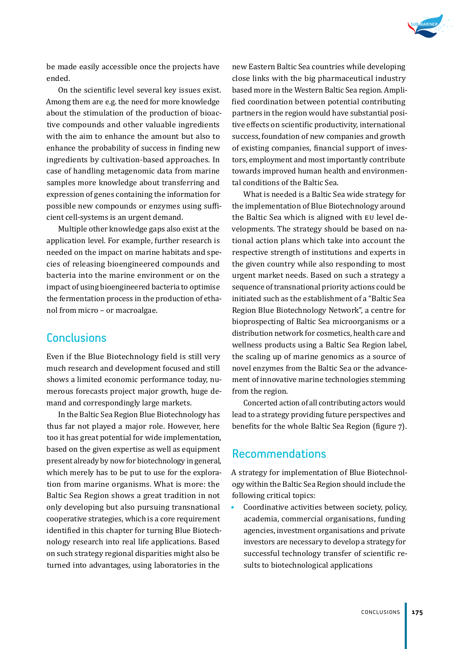

be made easily accessible once the projects have ended.

On the scientific level several key issues exist. Among them are e.g. the need for more knowledge about the stimulation of the production of bioactive compounds and other valuable ingredients with the aim to enhance the amount but also to enhance the probability of success in finding new ingredients by cultivation-based approaches. In case of handling metagenomic data from marine samples more knowledge about transferring and expression of genes containing the information for possible new compounds or enzymes using sufficient cell-systems is an urgent demand.

Multiple other knowledge gaps also exist at the application level. For example, further research is needed on the impact on marine habitats and species of releasing bioengineered compounds and bacteria into the marine environment or on the impact of using bioengineered bacteria to optimise the fermentation process in the production of ethanol from micro – or macroalgae.

# **Conclusions**

Even if the Blue Biotechnology field is still very much research and development focused and still shows a limited economic performance today, numerous forecasts project major growth, huge demand and correspondingly large markets.

In the Baltic Sea Region Blue Biotechnology has thus far not played a major role. However, here too it has great potential for wide implementation, based on the given expertise as well as equipment present already by now for biotechnology in general, which merely has to be put to use for the exploration from marine organisms. What is more: the Baltic Sea Region shows a great tradition in not only developing but also pursuing transnational cooperative strategies, which is a core requirement identified in this chapter for turning Blue Biotechnology research into real life applications. Based on such strategy regional disparities might also be turned into advantages, using laboratories in the

new Eastern Baltic Sea countries while developing close links with the big pharmaceutical industry based more in the Western Baltic Sea region. Amplified coordination between potential contributing partners in the region would have substantial positive effects on scientific productivity, international success, foundation of new companies and growth of existing companies, financial support of investors, employment and most importantly contribute towards improved human health and environmental conditions of the Baltic Sea.

What is needed is a Baltic Sea wide strategy for the implementation of Blue Biotechnology around the Baltic Sea which is aligned with EU level developments. The strategy should be based on national action plans which take into account the respective strength of institutions and experts in the given country while also responding to most urgent market needs. Based on such a strategy a sequence of transnational priority actions could be initiated such as the establishment of a "Baltic Sea Region Blue Biotechnology Network", a centre for bioprospecting of Baltic Sea microorganisms or a distribution network for cosmetics, health care and wellness products using a Baltic Sea Region label, the scaling up of marine genomics as a source of novel enzymes from the Baltic Sea or the advancement of innovative marine technologies stemming from the region.

Concerted action of all contributing actors would lead to a strategy providing future perspectives and benefits for the whole Baltic Sea Region (figure 7).

# Recommendations

A strategy for implementation of Blue Biotechnology within the Baltic Sea Region should include the following critical topics:

• Coordinative activities between society, policy, academia, commercial organisations, funding agencies, investment organisations and private investors are necessary to develop a strategy for successful technology transfer of scientific results to biotechnological applications